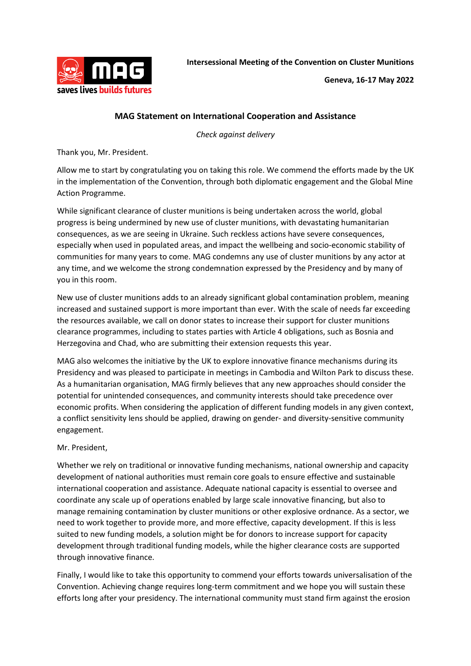

## **MAG Statement on International Cooperation and Assistance**

*Check against delivery*

Thank you, Mr. President.

Allow me to start by congratulating you on taking this role. We commend the efforts made by the UK in the implementation of the Convention, through both diplomatic engagement and the Global Mine Action Programme.

While significant clearance of cluster munitions is being undertaken across the world, global progress is being undermined by new use of cluster munitions, with devastating humanitarian consequences, as we are seeing in Ukraine. Such reckless actions have severe consequences, especially when used in populated areas, and impact the wellbeing and socio-economic stability of communities for many years to come. MAG condemns any use of cluster munitions by any actor at any time, and we welcome the strong condemnation expressed by the Presidency and by many of you in this room.

New use of cluster munitions adds to an already significant global contamination problem, meaning increased and sustained support is more important than ever. With the scale of needs far exceeding the resources available, we call on donor states to increase their support for cluster munitions clearance programmes, including to states parties with Article 4 obligations, such as Bosnia and Herzegovina and Chad, who are submitting their extension requests this year.

MAG also welcomes the initiative by the UK to explore innovative finance mechanisms during its Presidency and was pleased to participate in meetings in Cambodia and Wilton Park to discuss these. As a humanitarian organisation, MAG firmly believes that any new approaches should consider the potential for unintended consequences, and community interests should take precedence over economic profits. When considering the application of different funding models in any given context, a conflict sensitivity lens should be applied, drawing on gender- and diversity-sensitive community engagement.

## Mr. President,

Whether we rely on traditional or innovative funding mechanisms, national ownership and capacity development of national authorities must remain core goals to ensure effective and sustainable international cooperation and assistance. Adequate national capacity is essential to oversee and coordinate any scale up of operations enabled by large scale innovative financing, but also to manage remaining contamination by cluster munitions or other explosive ordnance. As a sector, we need to work together to provide more, and more effective, capacity development. If this is less suited to new funding models, a solution might be for donors to increase support for capacity development through traditional funding models, while the higher clearance costs are supported through innovative finance.

Finally, I would like to take this opportunity to commend your efforts towards universalisation of the Convention. Achieving change requires long-term commitment and we hope you will sustain these efforts long after your presidency. The international community must stand firm against the erosion